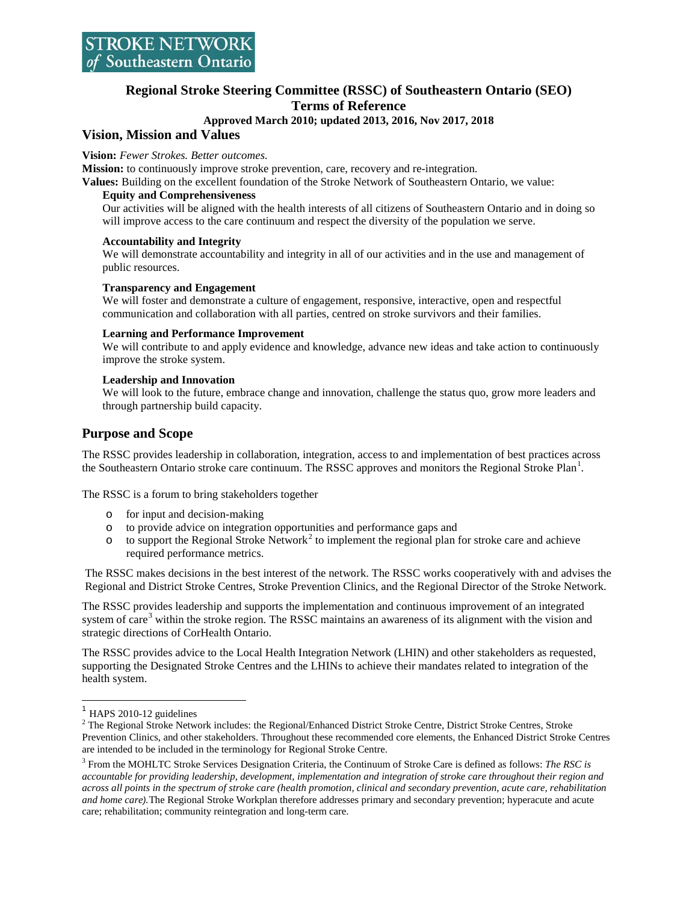# **Regional Stroke Steering Committee (RSSC) of Southeastern Ontario (SEO) Terms of Reference**

# **Approved March 2010; updated 2013, 2016, Nov 2017, 2018**

# **Vision, Mission and Values**

### **Vision:** *Fewer Strokes. Better outcomes*.

**Mission:** to continuously improve stroke prevention, care, recovery and re-integration.

**Values:** Building on the excellent foundation of the Stroke Network of Southeastern Ontario, we value:

## **Equity and Comprehensiveness**

Our activities will be aligned with the health interests of all citizens of Southeastern Ontario and in doing so will improve access to the care continuum and respect the diversity of the population we serve.

### **Accountability and Integrity**

We will demonstrate accountability and integrity in all of our activities and in the use and management of public resources.

### **Transparency and Engagement**

We will foster and demonstrate a culture of engagement, responsive, interactive, open and respectful communication and collaboration with all parties, centred on stroke survivors and their families.

### **Learning and Performance Improvement**

We will contribute to and apply evidence and knowledge, advance new ideas and take action to continuously improve the stroke system.

### **Leadership and Innovation**

We will look to the future, embrace change and innovation, challenge the status quo, grow more leaders and through partnership build capacity.

# **Purpose and Scope**

The RSSC provides leadership in collaboration, integration, access to and implementation of best practices across the Southeastern Ontario stroke care continuum. The RSSC approves and monitors the Regional Stroke Plan<sup>[1](#page-0-0)</sup>.

The RSSC is a forum to bring stakeholders together

- o for input and decision-making
- o to provide advice on integration opportunities and performance gaps and
- $\circ$  to support the Regional Stroke Network<sup>[2](#page-0-1)</sup> to implement the regional plan for stroke care and achieve required performance metrics.

The RSSC makes decisions in the best interest of the network. The RSSC works cooperatively with and advises the Regional and District Stroke Centres, Stroke Prevention Clinics, and the Regional Director of the Stroke Network.

The RSSC provides leadership and supports the implementation and continuous improvement of an integrated system of care<sup>[3](#page-0-2)</sup> within the stroke region. The RSSC maintains an awareness of its alignment with the vision and strategic directions of CorHealth Ontario.

The RSSC provides advice to the Local Health Integration Network (LHIN) and other stakeholders as requested, supporting the Designated Stroke Centres and the LHINs to achieve their mandates related to integration of the health system.

<span id="page-0-1"></span><span id="page-0-0"></span><sup>&</sup>lt;sup>1</sup> HAPS 2010-12 guidelines<br><sup>2</sup> The Regional Stroke Network includes: the Regional/Enhanced District Stroke Centre, District Stroke Centres, Stroke Prevention Clinics, and other stakeholders. Throughout these recommended core elements, the Enhanced District Stroke Centres are intended to be included in the terminology for Regional Stroke Centre.

<span id="page-0-2"></span><sup>3</sup> From the MOHLTC Stroke Services Designation Criteria, the Continuum of Stroke Care is defined as follows: *The RSC is accountable for providing leadership, development, implementation and integration of stroke care throughout their region and across all points in the spectrum of stroke care (health promotion, clinical and secondary prevention, acute care, rehabilitation and home care).*The Regional Stroke Workplan therefore addresses primary and secondary prevention; hyperacute and acute care; rehabilitation; community reintegration and long-term care.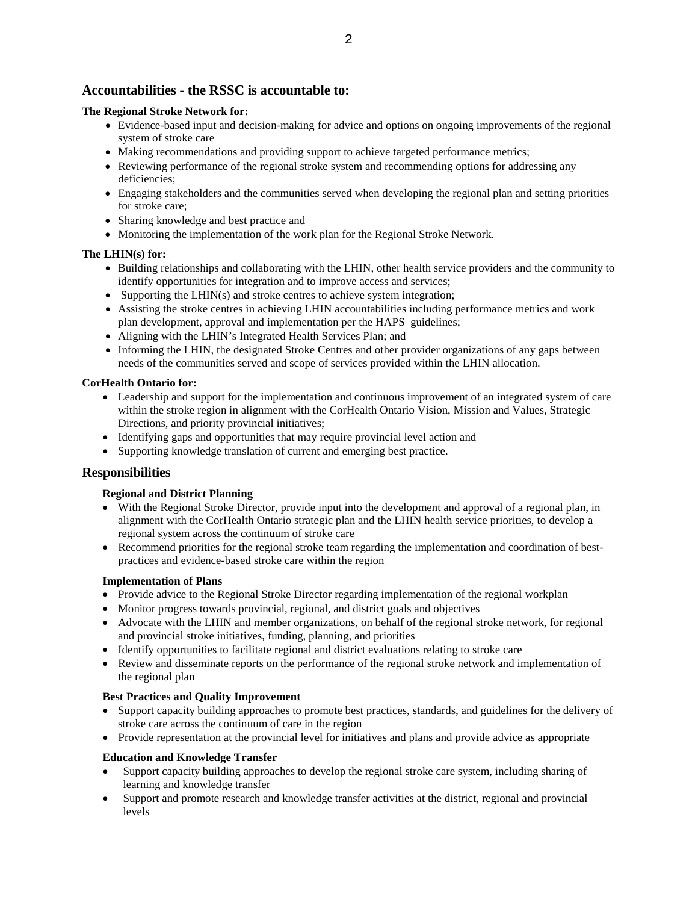# **Accountabilities - the RSSC is accountable to:**

## **The Regional Stroke Network for:**

- Evidence-based input and decision-making for advice and options on ongoing improvements of the regional system of stroke care
- Making recommendations and providing support to achieve targeted performance metrics;
- Reviewing performance of the regional stroke system and recommending options for addressing any deficiencies;
- Engaging stakeholders and the communities served when developing the regional plan and setting priorities for stroke care;
- Sharing knowledge and best practice and
- Monitoring the implementation of the work plan for the Regional Stroke Network.

# **The LHIN(s) for:**

- Building relationships and collaborating with the LHIN, other health service providers and the community to identify opportunities for integration and to improve access and services;
- Supporting the LHIN(s) and stroke centres to achieve system integration;
- Assisting the stroke centres in achieving LHIN accountabilities including performance metrics and work plan development, approval and implementation per the HAPS guidelines;
- Aligning with the LHIN's Integrated Health Services Plan; and
- Informing the LHIN, the designated Stroke Centres and other provider organizations of any gaps between needs of the communities served and scope of services provided within the LHIN allocation.

## **CorHealth Ontario for:**

- Leadership and support for the implementation and continuous improvement of an integrated system of care within the stroke region in alignment with the CorHealth Ontario Vision, Mission and Values, Strategic Directions, and priority provincial initiatives;
- Identifying gaps and opportunities that may require provincial level action and
- Supporting knowledge translation of current and emerging best practice.

# **Responsibilities**

## **Regional and District Planning**

- With the Regional Stroke Director, provide input into the development and approval of a regional plan, in alignment with the CorHealth Ontario strategic plan and the LHIN health service priorities, to develop a regional system across the continuum of stroke care
- Recommend priorities for the regional stroke team regarding the implementation and coordination of bestpractices and evidence-based stroke care within the region

## **Implementation of Plans**

- Provide advice to the Regional Stroke Director regarding implementation of the regional workplan
- Monitor progress towards provincial, regional, and district goals and objectives
- Advocate with the LHIN and member organizations, on behalf of the regional stroke network, for regional and provincial stroke initiatives, funding, planning, and priorities
- Identify opportunities to facilitate regional and district evaluations relating to stroke care
- Review and disseminate reports on the performance of the regional stroke network and implementation of the regional plan

## **Best Practices and Quality Improvement**

- Support capacity building approaches to promote best practices, standards, and guidelines for the delivery of stroke care across the continuum of care in the region
- Provide representation at the provincial level for initiatives and plans and provide advice as appropriate

## **Education and Knowledge Transfer**

- Support capacity building approaches to develop the regional stroke care system, including sharing of learning and knowledge transfer
- Support and promote research and knowledge transfer activities at the district, regional and provincial levels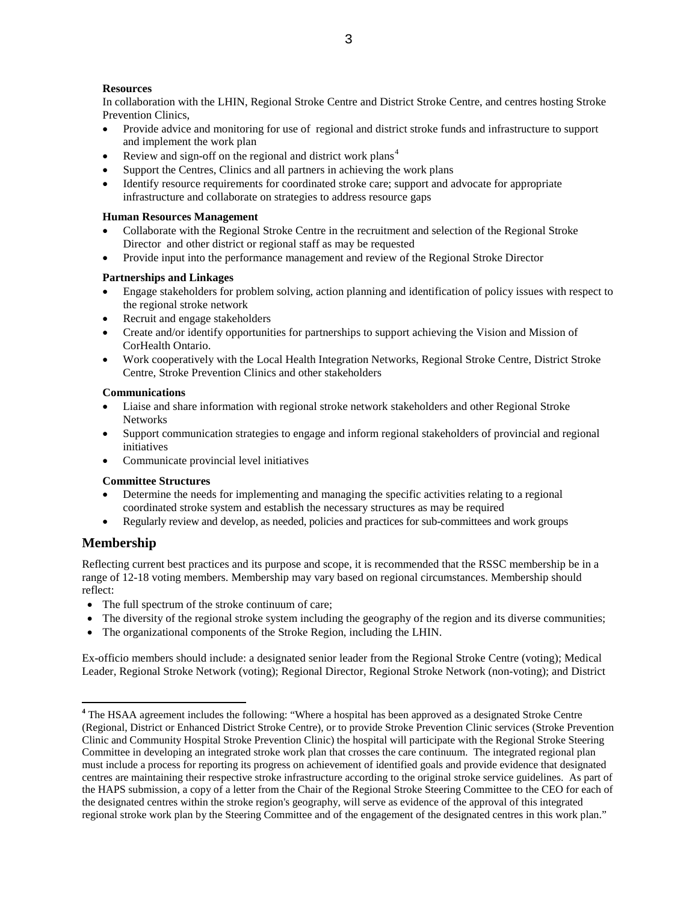# **Resources**

In collaboration with the LHIN, Regional Stroke Centre and District Stroke Centre, and centres hosting Stroke Prevention Clinics,

- Provide advice and monitoring for use of regional and district stroke funds and infrastructure to support and implement the work plan
- Review and sign-off on the regional and district work plans<sup>[4](#page-2-0)</sup>
- Support the Centres, Clinics and all partners in achieving the work plans
- Identify resource requirements for coordinated stroke care; support and advocate for appropriate infrastructure and collaborate on strategies to address resource gaps

#### **Human Resources Management**

- Collaborate with the Regional Stroke Centre in the recruitment and selection of the Regional Stroke Director and other district or regional staff as may be requested
- Provide input into the performance management and review of the Regional Stroke Director

### **Partnerships and Linkages**

- Engage stakeholders for problem solving, action planning and identification of policy issues with respect to the regional stroke network
- Recruit and engage stakeholders
- Create and/or identify opportunities for partnerships to support achieving the Vision and Mission of CorHealth Ontario.
- Work cooperatively with the Local Health Integration Networks, Regional Stroke Centre, District Stroke Centre, Stroke Prevention Clinics and other stakeholders

#### **Communications**

- Liaise and share information with regional stroke network stakeholders and other Regional Stroke Networks
- Support communication strategies to engage and inform regional stakeholders of provincial and regional initiatives
- Communicate provincial level initiatives

#### **Committee Structures**

- Determine the needs for implementing and managing the specific activities relating to a regional coordinated stroke system and establish the necessary structures as may be required
- Regularly review and develop, as needed, policies and practices for sub-committees and work groups

## **Membership**

Reflecting current best practices and its purpose and scope, it is recommended that the RSSC membership be in a range of 12-18 voting members. Membership may vary based on regional circumstances. Membership should reflect:

- The full spectrum of the stroke continuum of care;
- The diversity of the regional stroke system including the geography of the region and its diverse communities;
- The organizational components of the Stroke Region, including the LHIN.

Ex-officio members should include: a designated senior leader from the Regional Stroke Centre (voting); Medical Leader, Regional Stroke Network (voting); Regional Director, Regional Stroke Network (non-voting); and District

<span id="page-2-0"></span><sup>&</sup>lt;sup>4</sup> The HSAA agreement includes the following: "Where a hospital has been approved as a designated Stroke Centre (Regional, District or Enhanced District Stroke Centre), or to provide Stroke Prevention Clinic services (Stroke Prevention Clinic and Community Hospital Stroke Prevention Clinic) the hospital will participate with the Regional Stroke Steering Committee in developing an integrated stroke work plan that crosses the care continuum. The integrated regional plan must include a process for reporting its progress on achievement of identified goals and provide evidence that designated centres are maintaining their respective stroke infrastructure according to the original stroke service guidelines. As part of the HAPS submission, a copy of a letter from the Chair of the Regional Stroke Steering Committee to the CEO for each of the designated centres within the stroke region's geography, will serve as evidence of the approval of this integrated regional stroke work plan by the Steering Committee and of the engagement of the designated centres in this work plan."